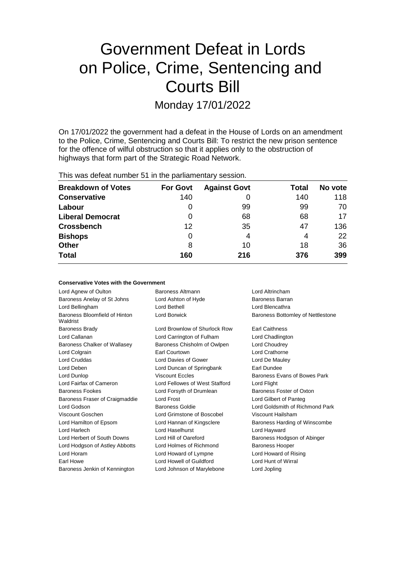# Government Defeat in Lords on Police, Crime, Sentencing and Courts Bill

Monday 17/01/2022

On 17/01/2022 the government had a defeat in the House of Lords on an amendment to the Police, Crime, Sentencing and Courts Bill: To restrict the new prison sentence for the offence of wilful obstruction so that it applies only to the obstruction of highways that form part of the Strategic Road Network.

This was defeat number 51 in the parliamentary session.

| <b>Breakdown of Votes</b> | <b>For Govt</b> | <b>Against Govt</b> | Total | No vote |
|---------------------------|-----------------|---------------------|-------|---------|
| <b>Conservative</b>       | 140             |                     | 140   | 118     |
| Labour                    | 0               | 99                  | 99    | 70      |
| <b>Liberal Democrat</b>   | 0               | 68                  | 68    | 17      |
| <b>Crossbench</b>         | 12              | 35                  | 47    | 136     |
| <b>Bishops</b>            | 0               | 4                   | 4     | 22      |
| <b>Other</b>              | 8               | 10                  | 18    | 36      |
| <b>Total</b>              | 160             | 216                 | 376   | 399     |

# **Conservative Votes with the Government**

| Lord Agnew of Oulton                      | Baroness Altmann               | Lord Altrincham                   |  |
|-------------------------------------------|--------------------------------|-----------------------------------|--|
| Baroness Anelay of St Johns               | Lord Ashton of Hyde            | Baroness Barran                   |  |
| Lord Bellingham                           | Lord Bethell                   | Lord Blencathra                   |  |
| Baroness Bloomfield of Hinton<br>Waldrist | Lord Borwick                   | Baroness Bottomley of Nettlestone |  |
| Baroness Brady                            | Lord Brownlow of Shurlock Row  | <b>Earl Caithness</b>             |  |
| Lord Callanan                             | Lord Carrington of Fulham      | Lord Chadlington                  |  |
| Baroness Chalker of Wallasey              | Baroness Chisholm of Owlpen    | Lord Choudrey                     |  |
| Lord Colgrain                             | Earl Courtown                  | Lord Crathorne                    |  |
| <b>Lord Cruddas</b>                       | Lord Davies of Gower           | Lord De Mauley                    |  |
| Lord Deben                                | Lord Duncan of Springbank      | Earl Dundee                       |  |
| Lord Dunlop                               | <b>Viscount Eccles</b>         | Baroness Evans of Bowes Park      |  |
| Lord Fairfax of Cameron                   | Lord Fellowes of West Stafford | Lord Flight                       |  |
| <b>Baroness Fookes</b>                    | Lord Forsyth of Drumlean       | Baroness Foster of Oxton          |  |
| Baroness Fraser of Craigmaddie            | Lord Frost                     | Lord Gilbert of Panteg            |  |
| Lord Godson                               | Baroness Goldie                | Lord Goldsmith of Richmond Park   |  |
| Viscount Goschen                          | Lord Grimstone of Boscobel     | Viscount Hailsham                 |  |
| Lord Hamilton of Epsom                    | Lord Hannan of Kingsclere      | Baroness Harding of Winscombe     |  |
| Lord Harlech                              | Lord Haselhurst                | Lord Hayward                      |  |
| Lord Herbert of South Downs               | Lord Hill of Oareford          | Baroness Hodgson of Abinger       |  |
| Lord Hodgson of Astley Abbotts            | Lord Holmes of Richmond        | <b>Baroness Hooper</b>            |  |
| Lord Horam                                | Lord Howard of Lympne          | Lord Howard of Rising             |  |
| Earl Howe                                 | Lord Howell of Guildford       | Lord Hunt of Wirral               |  |
| Baroness Jenkin of Kennington             | Lord Johnson of Marylebone     | Lord Jopling                      |  |
|                                           |                                |                                   |  |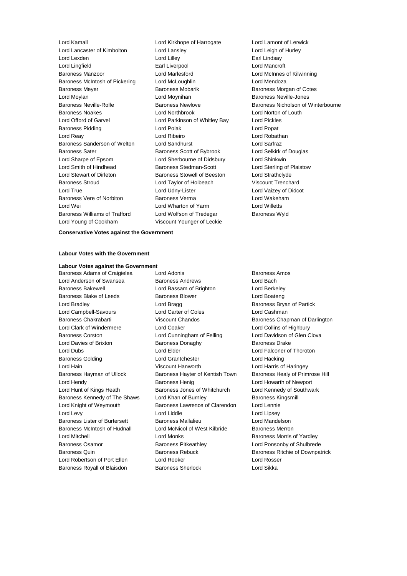Lord Kamall Lord Kirkhope of Harrogate Lord Lamont of Lerwick Lord Lancaster of Kimbolton Lord Lansley Lord Leigh of Hurley Lord Lexden Lord Lilley Earl Lindsay Lord Lingfield Earl Liverpool Lord Mancroft Baroness Manzoor **Lord Marlesford** Lord Marlesford Lord McInnes of Kilwinning Baroness McIntosh of Pickering Lord McLoughlin Lord Mendoza Baroness Meyer **Baroness Mobarik Baroness Mobarik** Baroness Morgan of Cotes Lord Moylan **Lord Moynihan** Lord Moynihan **Baroness Neville-Jones** Baroness Noakes Lord Northbrook Lord Norton of Louth Lord Offord of Garvel Lord Parkinson of Whitley Bay Lord Pickles Baroness Pidding **Lord Polak** Lord Polak Lord Popat Lord Reay Lord Ribeiro Lord Robathan Baroness Sanderson of Welton Lord Sandhurst Lord Sarfraz Baroness Sater **Baroness Scott of Bybrook** Lord Selkirk of Douglas Lord Sharpe of Epsom Lord Sherbourne of Didsbury Lord Shinkwin Lord Smith of Hindhead Baroness Stedman-Scott Lord Sterling of Plaistow Lord Stewart of Dirleton Baroness Stowell of Beeston Lord Strathclyde Baroness Stroud Lord Taylor of Holbeach Viscount Trenchard Lord True Lord Udny-Lister Lord Vaizey of Didcot Baroness Vere of Norbiton Baroness Verma Lord Wakeham Lord Wei Lord Wharton of Yarm Lord Willetts Baroness Williams of Trafford Lord Wolfson of Tredegar Baroness Wyld Lord Young of Cookham Viscount Younger of Leckie

Baroness Neville-Rolfe Baroness Newlove Baroness Nicholson of Winterbourne

#### **Conservative Votes against the Government**

#### **Labour Votes with the Government**

# **Labour Votes against the Government**

Baroness Adams of Craigielea Lord Adonis **Baroness Amos** Baroness Amos

Lord Anderson of Swansea Baroness Andrews Bachdrews Lord Bach Baroness Bakewell Lord Bassam of Brighton Lord Berkeley Baroness Blake of Leeds Baroness Blower Baroness Blower Lord Boateng Lord Bradley **Lord Bragg Baroness Bryan of Partick Baroness Bryan of Partick** Lord Campbell-Savours Lord Carter of Coles Lord Cashman Lord Clark of Windermere Lord Coaker Lord Collins of Highbury Baroness Corston Lord Cunningham of Felling Lord Davidson of Glen Clova Lord Davies of Brixton Baroness Donaghy Baroness Drake Lord Dubs Lord Elder Lord Falconer of Thoroton Baroness Golding Lord Grantchester Lord Hacking Lord Hain Viscount Hanworth Lord Harris of Haringey Baroness Hayman of Ullock Baroness Hayter of Kentish Town Baroness Healy of Primrose Hill Lord Hendy **Baroness Henig** Lord Howarth of Newport Lord Hunt of Kings Heath Baroness Jones of Whitchurch Lord Kennedy of Southwark Baroness Kennedy of The Shaws Lord Khan of Burnley **Baroness Kingsmill** Lord Knight of Weymouth Baroness Lawrence of Clarendon Lord Lennie Lord Levy **Lord Light Lord Light Lord Light Lord Light Lord Light Lord Light Lord Light Lord Light Lord Light Lord Light Lord Light Lord Light Lord Light Lord Light Lord Light Lord Light Lord Light Lord Light Lord Light Lo** Baroness Lister of Burtersett Baroness Mallalieu Lord Mandelson Baroness McIntosh of Hudnall Lord McNicol of West Kilbride Baroness Merron Lord Mitchell Lord Monks Baroness Morris of Yardley Baroness Osamor Baroness Pitkeathley Lord Ponsonby of Shulbrede Baroness Quin Baroness Rebuck Baroness Ritchie of Downpatrick Lord Robertson of Port Ellen Lord Rooker Lord Rosser Baroness Royall of Blaisdon Baroness Sherlock **Baroness Sherlock** Lord Sikka

Baroness Chakrabarti Viscount Chandos Baroness Chapman of Darlington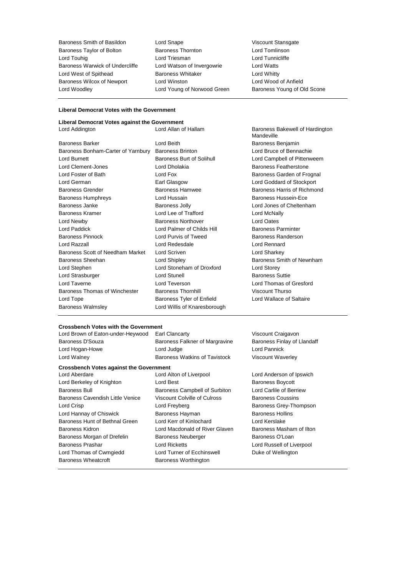Baroness Smith of Basildon Lord Snape Viscount Stansgate Baroness Taylor of Bolton Baroness Thornton Lord Tomlinson Lord Touhig Lord Triesman Lord Tunnicliffe Baroness Warwick of Undercliffe Lord Watson of Invergowrie Lord Watts Lord West of Spithead **Baroness Whitaker** Lord Whitty Baroness Wilcox of Newport Lord Winston Lord Wood of Anfield Lord Woodley Lord Young of Norwood Green Baroness Young of Old Scone

# **Liberal Democrat Votes with the Government**

#### **Liberal Democrat Votes against the Government**

|                                    |                                  | Mandeville         |
|------------------------------------|----------------------------------|--------------------|
| Baroness Barker                    | Lord Beith                       | Baroness B         |
| Baroness Bonham-Carter of Yarnbury | <b>Baroness Brinton</b>          | Lord Bruce         |
| Lord Burnett                       | <b>Baroness Burt of Solihull</b> | Lord Campb         |
| Lord Clement-Jones                 | Lord Dholakia                    | Baroness F         |
| Lord Foster of Bath                | Lord Fox                         | <b>Baroness G</b>  |
| Lord German                        | Earl Glasgow                     | Lord Godda         |
| <b>Baroness Grender</b>            | <b>Baroness Hamwee</b>           | Baroness Ha        |
| <b>Baroness Humphreys</b>          | Lord Hussain                     | Baroness H         |
| Baroness Janke                     | <b>Baroness Jolly</b>            | Lord Jones         |
| Baroness Kramer                    | Lord Lee of Trafford             | <b>Lord McNall</b> |
| Lord Newby                         | <b>Baroness Northover</b>        | Lord Oates         |
| Lord Paddick                       | Lord Palmer of Childs Hill       | <b>Baroness Pa</b> |
| Baroness Pinnock                   | Lord Purvis of Tweed             | Baroness Ra        |
| Lord Razzall                       | Lord Redesdale                   | Lord Rennar        |
| Baroness Scott of Needham Market   | Lord Scriven                     | Lord Sharke        |
| Baroness Sheehan                   | Lord Shipley                     | <b>Baroness S</b>  |
| Lord Stephen                       | Lord Stoneham of Droxford        | <b>Lord Storey</b> |
| Lord Strasburger                   | <b>Lord Stunell</b>              | Baroness S         |
| Lord Taverne                       | Lord Teverson                    | Lord Thoma         |
| Baroness Thomas of Winchester      | <b>Baroness Thornhill</b>        | Viscount Th        |
| Lord Tope                          | Baroness Tyler of Enfield        | Lord Wallac        |
| Baroness Walmsley                  | Lord Willis of Knaresborough     |                    |
|                                    |                                  |                    |

Lord Addington Lord Allan of Hallam Baroness Bakewell of Hardington **Mandeville** Baroness Benjamin Lord Bruce of Bennachie Solihull **Lord Campbell of Pittenweem** Baroness Featherstone Baroness Garden of Frognal Lord Goddard of Stockport ee Baroness Harris of Richmond Baroness Hussein-Ece Lord Jones of Cheltenham ord **Lord McNally** ver **Lord Oates** hilds Hill **Baroness Parminter** veed Baroness Randerson Lord Rennard Lord Sharkey Baroness Smith of Newnham **Baroness Suttie** Lord Thomas of Gresford Baroness Thomas of Winchester Baroness Thornhill Viscount Thurso of Enfield Lord Wallace of Saltaire

#### **Crossbench Votes with the Government**

Lord Brown of Eaton-under-Heywood Earl Clancarty **Viccount Craigavon** Baroness D'Souza **Baroness Falkner of Margravine** Baroness Finlay of Llandaff Lord Hogan-Howe Lord Judge Lord Pannick Lord Walney Baroness Watkins of Tavistock Viscount Waverley

**Crossbench Votes against the Government** Lord Aberdare Lord Alton of Liverpool Lord Anderson of Ipswich Lord Berkeley of Knighton **Lord Best** Baroness Boycott Baroness Bull Baroness Campbell of Surbiton Lord Carlile of Berriew Baroness Cavendish Little Venice Viscount Colville of Culross Baroness Coussins Lord Crisp Lord Freyberg Baroness Grey-Thompson Lord Hannay of Chiswick **Baroness Hayman** Baroness Hollins Baroness Hunt of Bethnal Green Lord Kerr of Kinlochard Lord Kerslake Baroness Kidron Lord Macdonald of River Glaven Baroness Masham of Ilton Baroness Morgan of Drefelin Baroness Neuberger Baroness O'Loan Baroness Prashar **Lord Ricketts** Lord Ricketts **Lord Russell of Liverpool** Lord Thomas of Cwmgiedd Lord Turner of Ecchinswell Buke of Wellington Baroness Wheatcroft **Baroness Worthington**